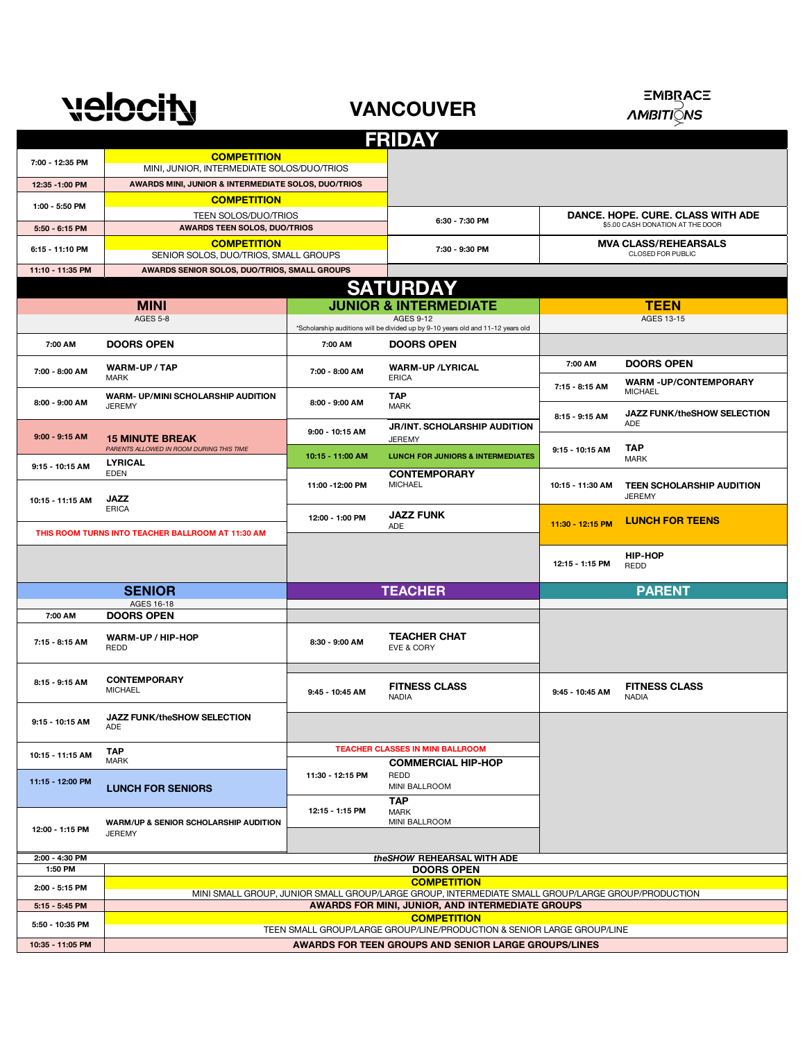

**VANCOUVER**



|                           |                                                                                                   |                  | <b>FRIDAY</b>                                                                   |                                                                       |                                                |  |
|---------------------------|---------------------------------------------------------------------------------------------------|------------------|---------------------------------------------------------------------------------|-----------------------------------------------------------------------|------------------------------------------------|--|
| 7:00 - 12:35 PM           | <b>COMPETITION</b><br>MINI, JUNIOR, INTERMEDIATE SOLOS/DUO/TRIOS                                  |                  |                                                                                 |                                                                       |                                                |  |
| 12:35 - 1:00 PM           | AWARDS MINI, JUNIOR & INTERMEDIATE SOLOS, DUO/TRIOS                                               |                  |                                                                                 |                                                                       |                                                |  |
| 1:00 - 5:50 PM            | <b>COMPETITION</b>                                                                                |                  |                                                                                 |                                                                       |                                                |  |
|                           | TEEN SOLOS/DUO/TRIOS<br><b>AWARDS TEEN SOLOS, DUO/TRIOS</b>                                       |                  | 6:30 - 7:30 PM                                                                  | DANCE, HOPE, CURE, CLASS WITH ADE<br>\$5.00 CASH DONATION AT THE DOOR |                                                |  |
| 5:50 - 6:15 PM            | <b>COMPETITION</b>                                                                                |                  |                                                                                 | <b>MVA CLASS/REHEARSALS</b>                                           |                                                |  |
| 6:15 - 11:10 PM           | SENIOR SOLOS, DUO/TRIOS, SMALL GROUPS                                                             | 7:30 - 9:30 PM   |                                                                                 | CLOSED FOR PUBLIC                                                     |                                                |  |
| 11:10 - 11:35 PM          | AWARDS SENIOR SOLOS, DUO/TRIOS, SMALL GROUPS                                                      |                  |                                                                                 |                                                                       |                                                |  |
|                           |                                                                                                   |                  | <b>SATURDAY</b>                                                                 |                                                                       |                                                |  |
|                           | <b>MINI</b><br><b>AGES 5-8</b>                                                                    |                  | <b>JUNIOR &amp; INTERMEDIATE</b><br>AGES 9-12                                   |                                                                       | <b>TEEN</b><br>AGES 13-15                      |  |
|                           |                                                                                                   |                  | *Scholarship auditions will be divided up by 9-10 years old and 11-12 years old |                                                                       |                                                |  |
| 7:00 AM                   | <b>DOORS OPEN</b>                                                                                 | 7:00 AM          | <b>DOORS OPEN</b>                                                               |                                                                       |                                                |  |
| 7:00 - 8:00 AM            | <b>WARM-UP / TAP</b>                                                                              | 7:00 - 8:00 AM   | <b>WARM-UP /LYRICAL</b>                                                         | 7:00 AM                                                               | <b>DOORS OPEN</b>                              |  |
|                           | <b>MARK</b><br><b>WARM- UP/MINI SCHOLARSHIP AUDITION</b>                                          |                  | <b>ERICA</b><br><b>TAP</b>                                                      | 7:15 - 8:15 AM                                                        | <b>WARM -UP/CONTEMPORARY</b><br><b>MICHAEL</b> |  |
| 8:00 - 9:00 AM            | <b>JEREMY</b>                                                                                     | 8:00 - 9:00 AM   | <b>MARK</b>                                                                     | 8:15 - 9:15 AM                                                        | <b>JAZZ FUNK/theSHOW SELECTION</b>             |  |
| $9:00 - 9:15$ AM          |                                                                                                   | 9:00 - 10:15 AM  | <b>JR/INT. SCHOLARSHIP AUDITION</b>                                             |                                                                       | <b>ADE</b>                                     |  |
|                           | <b>15 MINUTE BREAK</b><br>PARENTS ALLOWED IN ROOM DURING THIS TIME                                | 10:15 - 11:00 AM | <b>JEREMY</b><br><b>LUNCH FOR JUNIORS &amp; INTERMEDIATES</b>                   | 9:15 - 10:15 AM                                                       | <b>TAP</b><br><b>MARK</b>                      |  |
| 9:15 - 10:15 AM           | <b>LYRICAL</b><br><b>EDEN</b>                                                                     |                  | <b>CONTEMPORARY</b>                                                             |                                                                       |                                                |  |
| 10:15 - 11:15 AM          | <b>JAZZ</b>                                                                                       | 11:00 - 12:00 PM | <b>MICHAEL</b>                                                                  | 10:15 - 11:30 AM                                                      | TEEN SCHOLARSHIP AUDITION<br><b>JEREMY</b>     |  |
|                           | <b>ERICA</b>                                                                                      | 12:00 - 1:00 PM  | <b>JAZZ FUNK</b><br>ADE                                                         | 11:30 - 12:15 PM                                                      | <b>LUNCH FOR TEENS</b>                         |  |
|                           | THIS ROOM TURNS INTO TEACHER BALLROOM AT 11:30 AM                                                 |                  |                                                                                 |                                                                       |                                                |  |
|                           |                                                                                                   |                  |                                                                                 | 12:15 - 1:15 PM                                                       | <b>HIP-HOP</b><br>REDD                         |  |
| <b>SENIOR</b>             |                                                                                                   |                  | <b>TEACHER</b>                                                                  |                                                                       | <b>PARENT</b>                                  |  |
|                           | AGES 16-18                                                                                        |                  |                                                                                 |                                                                       |                                                |  |
| 7:00 AM                   | <b>DOORS OPEN</b>                                                                                 |                  |                                                                                 |                                                                       |                                                |  |
| 7:15 - 8:15 AM            | WARM-UP / HIP-HOP<br><b>REDD</b>                                                                  | 8:30 - 9:00 AM   | <b>TEACHER CHAT</b><br>EVE & CORY                                               |                                                                       |                                                |  |
| 8:15 - 9:15 AM            | <b>CONTEMPORARY</b>                                                                               |                  | <b>FITNESS CLASS</b>                                                            |                                                                       | <b>FITNESS CLASS</b>                           |  |
|                           | <b>MICHAEL</b>                                                                                    | 9:45 - 10:45 AM  | <b>NADIA</b>                                                                    | 9:45 - 10:45 AM                                                       | <b>NADIA</b>                                   |  |
| 9:15 - 10:15 AM           | JAZZ FUNK/theSHOW SELECTION<br>ADE                                                                |                  |                                                                                 |                                                                       |                                                |  |
| 10:15 - 11:15 AM          | <b>TAP</b>                                                                                        |                  | <b>TEACHER CLASSES IN MINI BALLROOM</b>                                         |                                                                       |                                                |  |
|                           | <b>MARK</b>                                                                                       | 11:30 - 12:15 PM | <b>COMMERCIAL HIP-HOP</b><br><b>REDD</b>                                        |                                                                       |                                                |  |
| 11:15 - 12:00 PM          | <b>LUNCH FOR SENIORS</b>                                                                          |                  | <b>MINI BALLROOM</b>                                                            |                                                                       |                                                |  |
|                           |                                                                                                   | 12:15 - 1:15 PM  | <b>TAP</b><br>MARK                                                              |                                                                       |                                                |  |
| 12:00 - 1:15 PM           | <b>WARM/UP &amp; SENIOR SCHOLARSHIP AUDITION</b><br><b>JEREMY</b>                                 |                  | MINI BALLROOM                                                                   |                                                                       |                                                |  |
|                           |                                                                                                   |                  | the SHOW REHEARSAL WITH ADE                                                     |                                                                       |                                                |  |
| 2:00 - 4:30 PM<br>1:50 PM |                                                                                                   |                  | <b>DOORS OPEN</b>                                                               |                                                                       |                                                |  |
| 2:00 - 5:15 PM            | <b>COMPETITION</b>                                                                                |                  |                                                                                 |                                                                       |                                                |  |
|                           | MINI SMALL GROUP, JUNIOR SMALL GROUP/LARGE GROUP, INTERMEDIATE SMALL GROUP/LARGE GROUP/PRODUCTION |                  |                                                                                 |                                                                       |                                                |  |
| 5:15 - 5:45 PM            | <b>AWARDS FOR MINI, JUNIOR, AND INTERMEDIATE GROUPS</b><br><b>COMPETITION</b>                     |                  |                                                                                 |                                                                       |                                                |  |
| 5:50 - 10:35 PM           | TEEN SMALL GROUP/LARGE GROUP/LINE/PRODUCTION & SENIOR LARGE GROUP/LINE                            |                  |                                                                                 |                                                                       |                                                |  |
| 10:35 - 11:05 PM          | AWARDS FOR TEEN GROUPS AND SENIOR LARGE GROUPS/LINES                                              |                  |                                                                                 |                                                                       |                                                |  |
|                           |                                                                                                   |                  |                                                                                 |                                                                       |                                                |  |